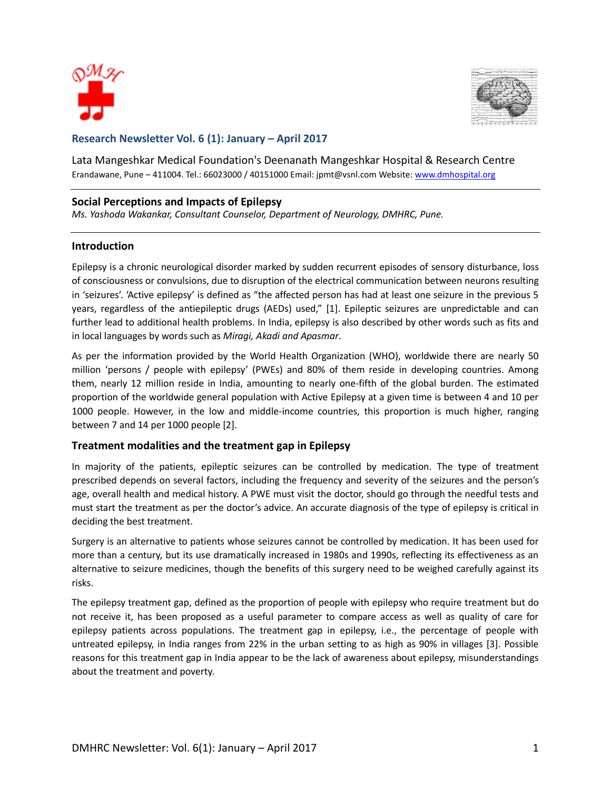



# **Research Newsletter Vol. 6 (1): January – April 2017**

Lata Mangeshkar Medical Foundation's Deenanath Mangeshkar Hospital & Research Centre Erandawane, Pune - 411004. Tel.: 66023000 / 40151000 Email: jpmt@vsnl.com Website: [www.dmhospital.org](http://www.dmhospital.org/)

### **Social Perceptions and Impacts of Epilepsy**

*Ms. Yashoda Wakankar, Consultant Counselor, Department of Neurology, DMHRC, Pune.*

### **Introduction**

Epilepsy is a chronic neurological disorder marked by sudden recurrent episodes of sensory disturbance, loss of consciousness or convulsions, due to disruption of the electrical communication between neurons resulting in 'seizures'. 'Active epilepsy' is defined as "the affected person has had at least one seizure in the previous 5 years, regardless of the antiepileptic drugs (AEDs) used," [1]. Epileptic seizures are unpredictable and can further lead to additional health problems. In India, epilepsy is also described by other words such as fits and in local languages by words such as *Miragi, Akadi and Apasmar*.

As per the information provided by the World Health Organization (WHO), worldwide there are nearly 50 million 'persons / people with epilepsy' (PWEs) and 80% of them reside in developing countries. Among them, nearly 12 million reside in India, amounting to nearly one-fifth of the global burden. The estimated proportion of the worldwide general population with Active Epilepsy at a given time is between 4 and 10 per 1000 people. However, in the low and middle-income countries, this proportion is much higher, ranging between 7 and 14 per 1000 people [2].

### **Treatment modalities and the treatment gap in Epilepsy**

In majority of the patients, epileptic seizures can be controlled by medication. The type of treatment prescribed depends on several factors, including the frequency and severity of the seizures and the person's age, overall health and medical history. A PWE must visit the doctor, should go through the needful tests and must start the treatment as per the doctor's advice. An accurate diagnosis of the type of epilepsy is critical in deciding the best treatment.

Surgery is an alternative to patients whose seizures cannot be controlled by medication. It has been used for more than a century, but its use dramatically increased in 1980s and 1990s, reflecting its effectiveness as an alternative to seizure medicines, though the benefits of this surgery need to be weighed carefully against its risks.

The epilepsy treatment gap, defined as the proportion of people with epilepsy who require treatment but do not receive it, has been proposed as a useful parameter to compare access as well as quality of care for epilepsy patients across populations. The treatment gap in epilepsy, i.e., the percentage of people with untreated epilepsy, in India ranges from 22% in the urban setting to as high as 90% in villages [3]. Possible reasons for this treatment gap in India appear to be the lack of awareness about epilepsy, misunderstandings about the treatment and poverty.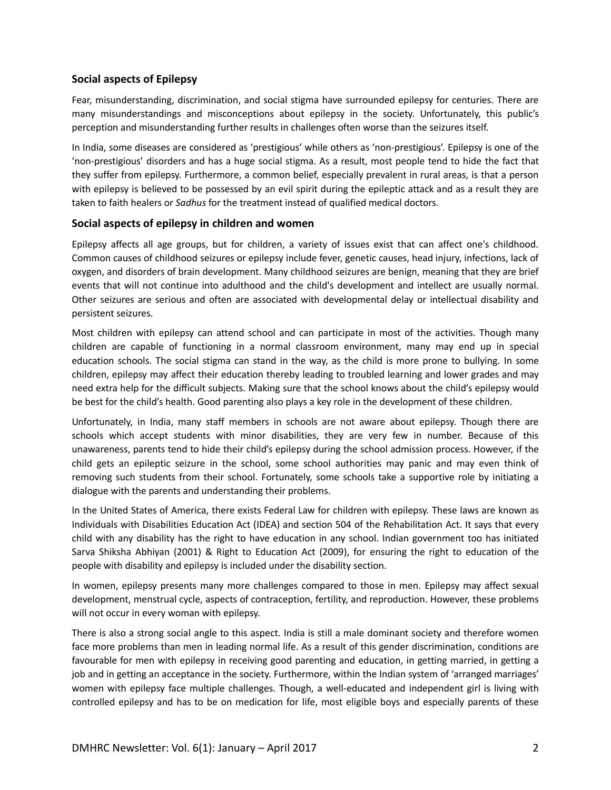## **Social aspects of Epilepsy**

Fear, misunderstanding, discrimination, and social stigma have surrounded epilepsy for centuries. There are many misunderstandings and misconceptions about epilepsy in the society. Unfortunately, this public's perception and misunderstanding further results in challenges often worse than the seizures itself.

In India, some diseases are considered as 'prestigious' while others as 'non-prestigious'. Epilepsy is one of the 'non-prestigious' disorders and has a huge social stigma. As a result, most people tend to hide the fact that they suffer from epilepsy. Furthermore, a common belief, especially prevalent in rural areas, is that a person with epilepsy is believed to be possessed by an evil spirit during the epileptic attack and as a result they are taken to faith healers or *Sadhus* for the treatment instead of qualified medical doctors.

### **Social aspects of epilepsy in children and women**

Epilepsy affects all age groups, but for children, a variety of issues exist that can affect one's childhood. Common causes of childhood seizures or epilepsy include fever, genetic causes, head injury, infections, lack of oxygen, and disorders of brain development. Many childhood seizures are benign, meaning that they are brief events that will not continue into adulthood and the child's development and intellect are usually normal. Other seizures are serious and often are associated with developmental delay or intellectual disability and persistent seizures.

Most children with epilepsy can attend school and can participate in most of the activities. Though many children are capable of functioning in a normal classroom environment, many may end up in special education schools. The social stigma can stand in the way, as the child is more prone to bullying. In some children, epilepsy may affect their education thereby leading to troubled learning and lower grades and may need extra help for the difficult subjects. Making sure that the school knows about the child's epilepsy would be best for the child's health. Good parenting also plays a key role in the development of these children.

Unfortunately, in India, many staff members in schools are not aware about epilepsy. Though there are schools which accept students with minor disabilities, they are very few in number. Because of this unawareness, parents tend to hide their child's epilepsy during the school admission process. However, if the child gets an epileptic seizure in the school, some school authorities may panic and may even think of removing such students from their school. Fortunately, some schools take a supportive role by initiating a dialogue with the parents and understanding their problems.

In the United States of America, there exists Federal Law for children with epilepsy. These laws are known as Individuals with Disabilities Education Act (IDEA) and section 504 of the Rehabilitation Act. It says that every child with any disability has the right to have education in any school. Indian government too has initiated Sarva Shiksha Abhiyan (2001) & Right to Education Act (2009), for ensuring the right to education of the people with disability and epilepsy is included under the disability section.

In women, epilepsy presents many more challenges compared to those in men. Epilepsy may affect sexual development, menstrual cycle, aspects of contraception, fertility, and reproduction. However, these problems will not occur in every woman with epilepsy.

There is also a strong social angle to this aspect. India is still a male dominant society and therefore women face more problems than men in leading normal life. As a result of this gender discrimination, conditions are favourable for men with epilepsy in receiving good parenting and education, in getting married, in getting a job and in getting an acceptance in the society. Furthermore, within the Indian system of 'arranged marriages' women with epilepsy face multiple challenges. Though, a well-educated and independent girl is living with controlled epilepsy and has to be on medication for life, most eligible boys and especially parents of these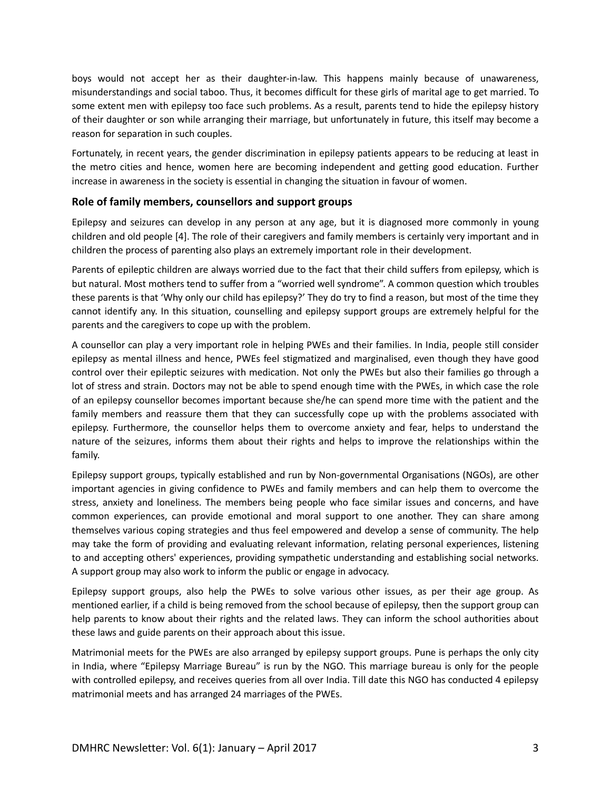boys would not accept her as their daughter-in-law. This happens mainly because of unawareness, misunderstandings and social taboo. Thus, it becomes difficult for these girls of marital age to get married. To some extent men with epilepsy too face such problems. As a result, parents tend to hide the epilepsy history of their daughter or son while arranging their marriage, but unfortunately in future, this itself may become a reason for separation in such couples.

Fortunately, in recent years, the gender discrimination in epilepsy patients appears to be reducing at least in the metro cities and hence, women here are becoming independent and getting good education. Further increase in awareness in the society is essential in changing the situation in favour of women.

## **Role of family members, counsellors and support groups**

Epilepsy and seizures can develop in any person at any age, but it is diagnosed more commonly in young children and old people [4]. The role of their caregivers and family members is certainly very important and in children the process of parenting also plays an extremely important role in their development.

Parents of epileptic children are always worried due to the fact that their child suffers from epilepsy, which is but natural. Most mothers tend to suffer from a "worried well syndrome". A common question which troubles these parents is that 'Why only our child has epilepsy?' They do try to find a reason, but most of the time they cannot identify any. In this situation, counselling and epilepsy support groups are extremely helpful for the parents and the caregivers to cope up with the problem.

A counsellor can play a very important role in helping PWEs and their families. In India, people still consider epilepsy as mental illness and hence, PWEs feel stigmatized and marginalised, even though they have good control over their epileptic seizures with medication. Not only the PWEs but also their families go through a lot of stress and strain. Doctors may not be able to spend enough time with the PWEs, in which case the role of an epilepsy counsellor becomes important because she/he can spend more time with the patient and the family members and reassure them that they can successfully cope up with the problems associated with epilepsy. Furthermore, the counsellor helps them to overcome anxiety and fear, helps to understand the nature of the seizures, informs them about their rights and helps to improve the relationships within the family.

Epilepsy support groups, typically established and run by Non-governmental Organisations (NGOs), are other important agencies in giving confidence to PWEs and family members and can help them to overcome the stress, anxiety and loneliness. The members being people who face similar issues and concerns, and have common experiences, can provide emotional and moral support to one another. They can share among themselves various coping strategies and thus feel empowered and develop a sense of community. The help may take the form of providing and evaluating relevant information, relating personal experiences, listening to and accepting others' experiences, providing sympathetic understanding and establishing social networks. A support group may also work to inform the public or engage in advocacy.

Epilepsy support groups, also help the PWEs to solve various other issues, as per their age group. As mentioned earlier, if a child is being removed from the school because of epilepsy, then the support group can help parents to know about their rights and the related laws. They can inform the school authorities about these laws and guide parents on their approach about this issue.

Matrimonial meets for the PWEs are also arranged by epilepsy support groups. Pune is perhaps the only city in India, where "Epilepsy Marriage Bureau" is run by the NGO. This marriage bureau is only for the people with controlled epilepsy, and receives queries from all over India. Till date this NGO has conducted 4 epilepsy matrimonial meets and has arranged 24 marriages of the PWEs.